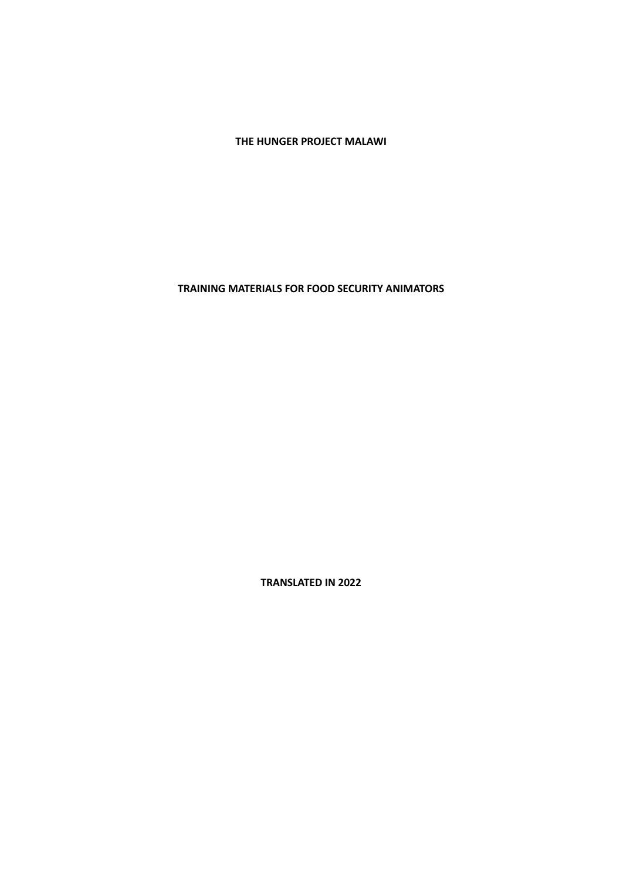**THE HUNGER PROJECT MALAWI**

**TRAINING MATERIALS FOR FOOD SECURITY ANIMATORS**

**TRANSLATED IN 2022**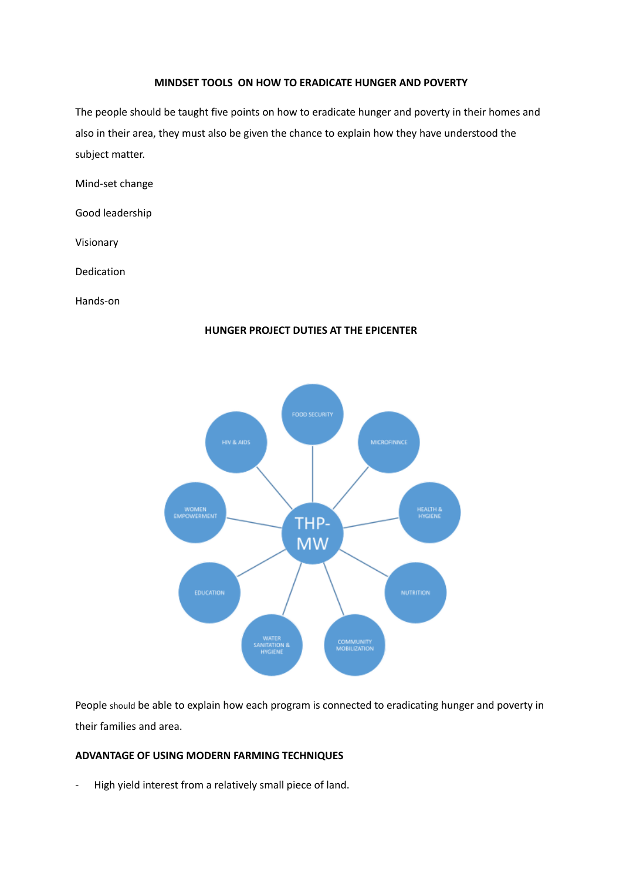#### **MINDSET TOOLS ON HOW TO ERADICATE HUNGER AND POVERTY**

The people should be taught five points on how to eradicate hunger and poverty in their homes and also in their area, they must also be given the chance to explain how they have understood the subject matter.

Mind-set change

Good leadership

Visionary

Dedication

Hands-on

# **HUNGER PROJECT DUTIES AT THE EPICENTER**



People should be able to explain how each program is connected to eradicating hunger and poverty in their families and area.

# **ADVANTAGE OF USING MODERN FARMING TECHNIQUES**

- High yield interest from a relatively small piece of land.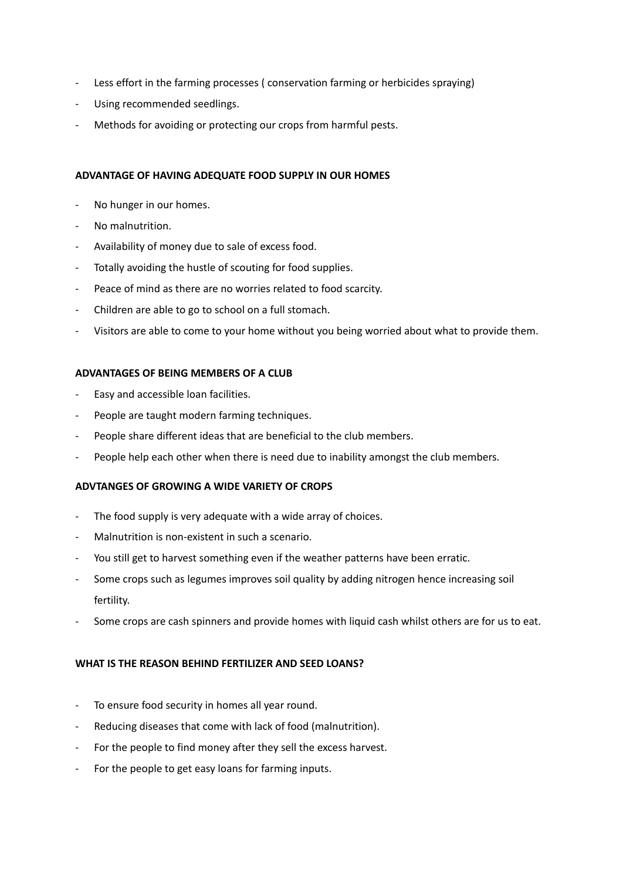- Less effort in the farming processes ( conservation farming or herbicides spraying)
- Using recommended seedlings.
- Methods for avoiding or protecting our crops from harmful pests.

# **ADVANTAGE OF HAVING ADEQUATE FOOD SUPPLY IN OUR HOMES**

- No hunger in our homes.
- No malnutrition.
- Availability of money due to sale of excess food.
- Totally avoiding the hustle of scouting for food supplies.
- Peace of mind as there are no worries related to food scarcity.
- Children are able to go to school on a full stomach.
- Visitors are able to come to your home without you being worried about what to provide them.

# **ADVANTAGES OF BEING MEMBERS OF A CLUB**

- Easy and accessible loan facilities.
- People are taught modern farming techniques.
- People share different ideas that are beneficial to the club members.
- People help each other when there is need due to inability amongst the club members.

# **ADVTANGES OF GROWING A WIDE VARIETY OF CROPS**

- The food supply is very adequate with a wide array of choices.
- Malnutrition is non-existent in such a scenario.
- You still get to harvest something even if the weather patterns have been erratic.
- Some crops such as legumes improves soil quality by adding nitrogen hence increasing soil fertility.
- Some crops are cash spinners and provide homes with liquid cash whilst others are for us to eat.

# **WHAT IS THE REASON BEHIND FERTILIZER AND SEED LOANS?**

- To ensure food security in homes all year round.
- Reducing diseases that come with lack of food (malnutrition).
- For the people to find money after they sell the excess harvest.
- For the people to get easy loans for farming inputs.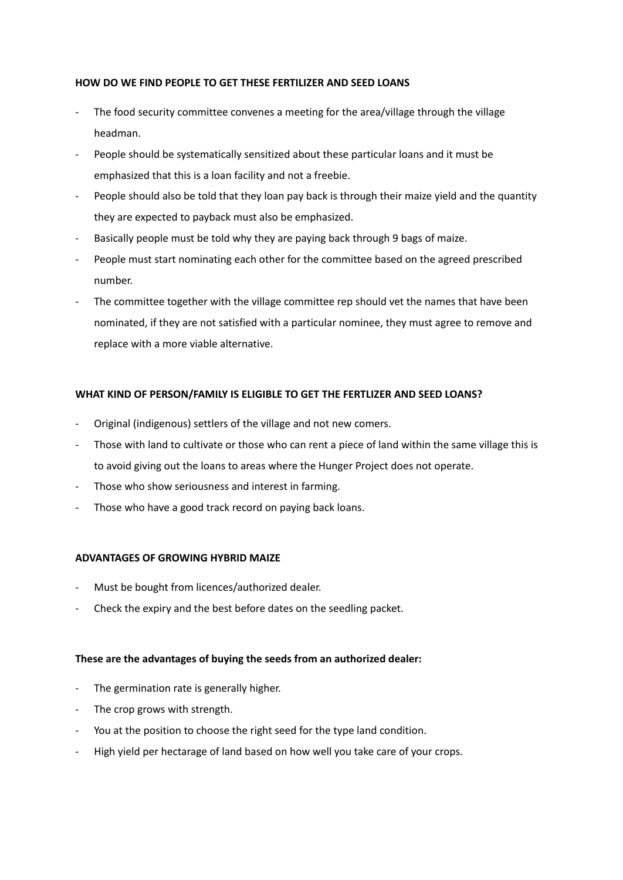# **HOW DO WE FIND PEOPLE TO GET THESE FERTILIZER AND SEED LOANS**

- The food security committee convenes a meeting for the area/village through the village headman.
- People should be systematically sensitized about these particular loans and it must be emphasized that this is a loan facility and not a freebie.
- People should also be told that they loan pay back is through their maize yield and the quantity they are expected to payback must also be emphasized.
- Basically people must be told why they are paying back through 9 bags of maize.
- People must start nominating each other for the committee based on the agreed prescribed number.
- The committee together with the village committee rep should vet the names that have been nominated, if they are not satisfied with a particular nominee, they must agree to remove and replace with a more viable alternative.

# **WHAT KIND OF PERSON/FAMILY IS ELIGIBLE TO GET THE FERTLIZER AND SEED LOANS?**

- Original (indigenous) settlers of the village and not new comers.
- Those with land to cultivate or those who can rent a piece of land within the same village this is to avoid giving out the loans to areas where the Hunger Project does not operate.
- Those who show seriousness and interest in farming.
- Those who have a good track record on paying back loans.

# **ADVANTAGES OF GROWING HYBRID MAIZE**

- Must be bought from licences/authorized dealer.
- Check the expiry and the best before dates on the seedling packet.

# **These are the advantages of buying the seeds from an authorized dealer:**

- The germination rate is generally higher.
- The crop grows with strength.
- You at the position to choose the right seed for the type land condition.
- High yield per hectarage of land based on how well you take care of your crops.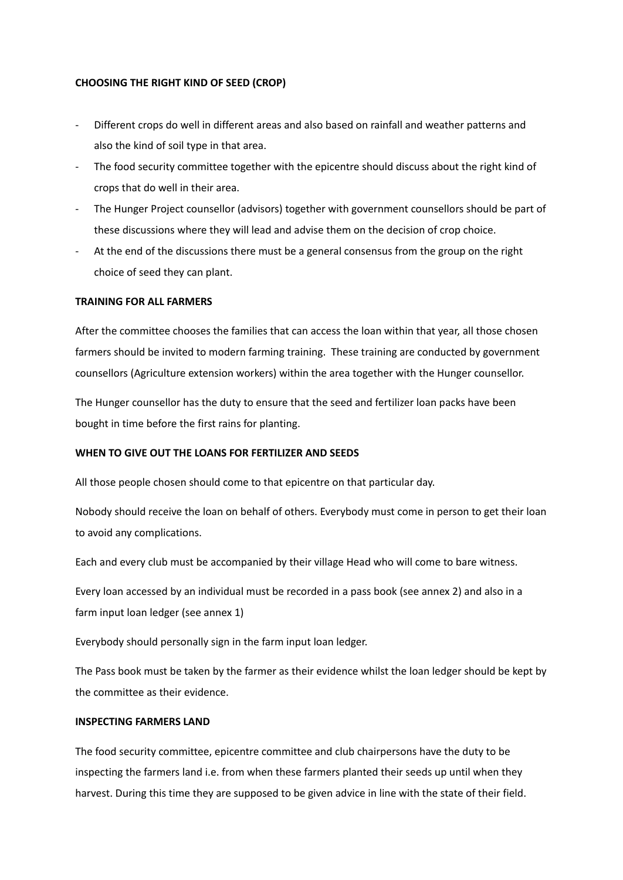#### **CHOOSING THE RIGHT KIND OF SEED (CROP)**

- Different crops do well in different areas and also based on rainfall and weather patterns and also the kind of soil type in that area.
- The food security committee together with the epicentre should discuss about the right kind of crops that do well in their area.
- The Hunger Project counsellor (advisors) together with government counsellors should be part of these discussions where they will lead and advise them on the decision of crop choice.
- At the end of the discussions there must be a general consensus from the group on the right choice of seed they can plant.

### **TRAINING FOR ALL FARMERS**

After the committee chooses the families that can access the loan within that year, all those chosen farmers should be invited to modern farming training. These training are conducted by government counsellors (Agriculture extension workers) within the area together with the Hunger counsellor.

The Hunger counsellor has the duty to ensure that the seed and fertilizer loan packs have been bought in time before the first rains for planting.

#### **WHEN TO GIVE OUT THE LOANS FOR FERTILIZER AND SEEDS**

All those people chosen should come to that epicentre on that particular day.

Nobody should receive the loan on behalf of others. Everybody must come in person to get their loan to avoid any complications.

Each and every club must be accompanied by their village Head who will come to bare witness.

Every loan accessed by an individual must be recorded in a pass book (see annex 2) and also in a farm input loan ledger (see annex 1)

Everybody should personally sign in the farm input loan ledger.

The Pass book must be taken by the farmer as their evidence whilst the loan ledger should be kept by the committee as their evidence.

#### **INSPECTING FARMERS LAND**

The food security committee, epicentre committee and club chairpersons have the duty to be inspecting the farmers land i.e. from when these farmers planted their seeds up until when they harvest. During this time they are supposed to be given advice in line with the state of their field.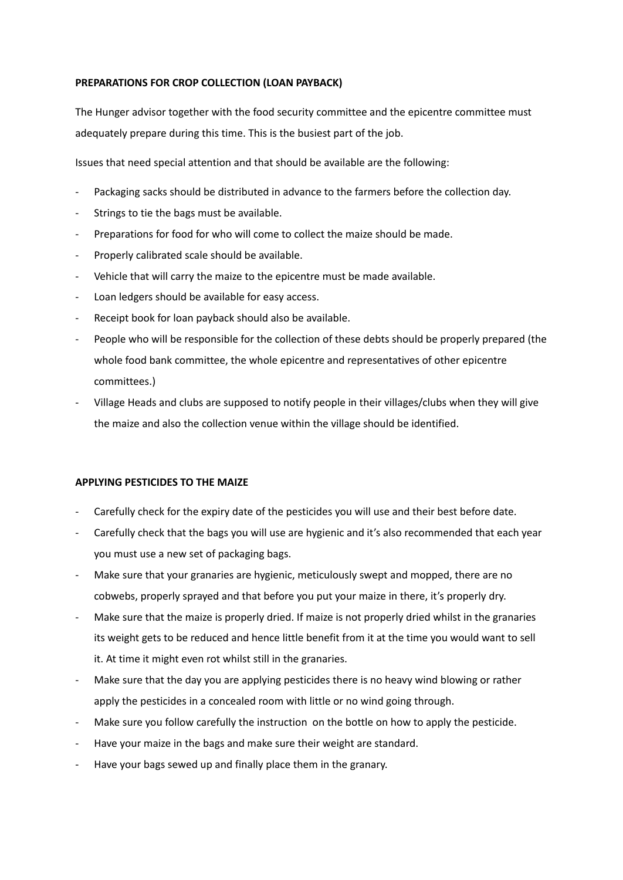# **PREPARATIONS FOR CROP COLLECTION (LOAN PAYBACK)**

The Hunger advisor together with the food security committee and the epicentre committee must adequately prepare during this time. This is the busiest part of the job.

Issues that need special attention and that should be available are the following:

- Packaging sacks should be distributed in advance to the farmers before the collection day.
- Strings to tie the bags must be available.
- Preparations for food for who will come to collect the maize should be made.
- Properly calibrated scale should be available.
- Vehicle that will carry the maize to the epicentre must be made available.
- Loan ledgers should be available for easy access.
- Receipt book for loan payback should also be available.
- People who will be responsible for the collection of these debts should be properly prepared (the whole food bank committee, the whole epicentre and representatives of other epicentre committees.)
- Village Heads and clubs are supposed to notify people in their villages/clubs when they will give the maize and also the collection venue within the village should be identified.

# **APPLYING PESTICIDES TO THE MAIZE**

- Carefully check for the expiry date of the pesticides you will use and their best before date.
- Carefully check that the bags you will use are hygienic and it's also recommended that each year you must use a new set of packaging bags.
- Make sure that your granaries are hygienic, meticulously swept and mopped, there are no cobwebs, properly sprayed and that before you put your maize in there, it's properly dry.
- Make sure that the maize is properly dried. If maize is not properly dried whilst in the granaries its weight gets to be reduced and hence little benefit from it at the time you would want to sell it. At time it might even rot whilst still in the granaries.
- Make sure that the day you are applying pesticides there is no heavy wind blowing or rather apply the pesticides in a concealed room with little or no wind going through.
- Make sure you follow carefully the instruction on the bottle on how to apply the pesticide.
- Have your maize in the bags and make sure their weight are standard.
- Have your bags sewed up and finally place them in the granary.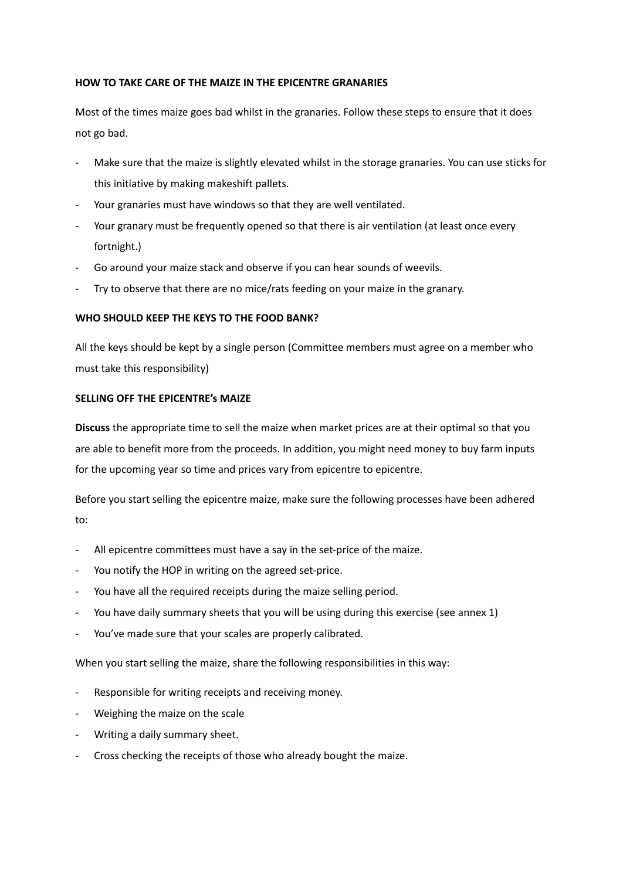# **HOW TO TAKE CARE OF THE MAIZE IN THE EPICENTRE GRANARIES**

Most of the times maize goes bad whilst in the granaries. Follow these steps to ensure that it does not go bad.

- Make sure that the maize is slightly elevated whilst in the storage granaries. You can use sticks for this initiative by making makeshift pallets.
- Your granaries must have windows so that they are well ventilated.
- Your granary must be frequently opened so that there is air ventilation (at least once every fortnight.)
- Go around your maize stack and observe if you can hear sounds of weevils.
- Try to observe that there are no mice/rats feeding on your maize in the granary.

# **WHO SHOULD KEEP THE KEYS TO THE FOOD BANK?**

All the keys should be kept by a single person (Committee members must agree on a member who must take this responsibility)

# **SELLING OFF THE EPICENTRE's MAIZE**

**Discuss** the appropriate time to sell the maize when market prices are at their optimal so that you are able to benefit more from the proceeds. In addition, you might need money to buy farm inputs for the upcoming year so time and prices vary from epicentre to epicentre.

Before you start selling the epicentre maize, make sure the following processes have been adhered to:

- All epicentre committees must have a say in the set-price of the maize.
- You notify the HOP in writing on the agreed set-price.
- You have all the required receipts during the maize selling period.
- You have daily summary sheets that you will be using during this exercise (see annex 1)
- You've made sure that your scales are properly calibrated.

When you start selling the maize, share the following responsibilities in this way:

- Responsible for writing receipts and receiving money.
- Weighing the maize on the scale
- Writing a daily summary sheet.
- Cross checking the receipts of those who already bought the maize.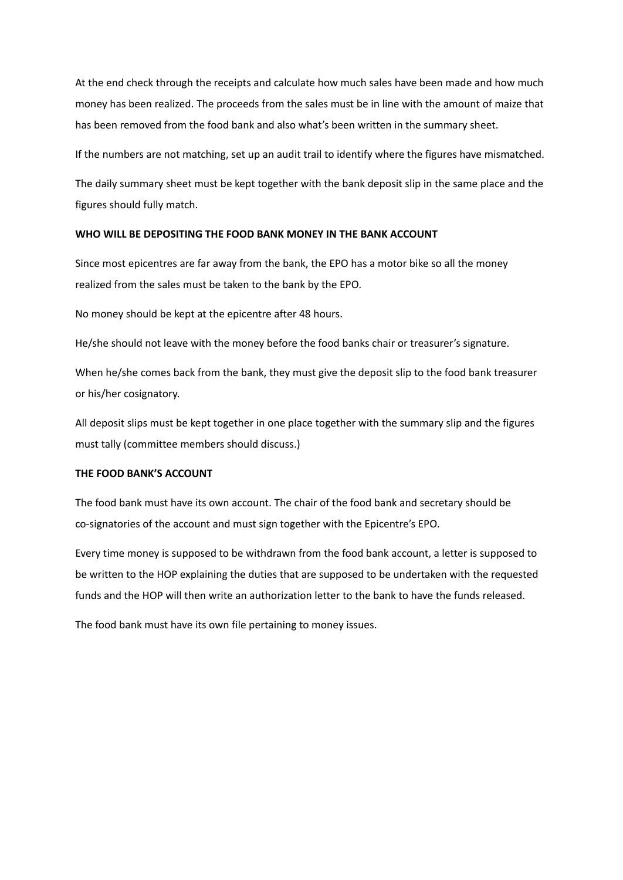At the end check through the receipts and calculate how much sales have been made and how much money has been realized. The proceeds from the sales must be in line with the amount of maize that has been removed from the food bank and also what's been written in the summary sheet.

If the numbers are not matching, set up an audit trail to identify where the figures have mismatched.

The daily summary sheet must be kept together with the bank deposit slip in the same place and the figures should fully match.

#### **WHO WILL BE DEPOSITING THE FOOD BANK MONEY IN THE BANK ACCOUNT**

Since most epicentres are far away from the bank, the EPO has a motor bike so all the money realized from the sales must be taken to the bank by the EPO.

No money should be kept at the epicentre after 48 hours.

He/she should not leave with the money before the food banks chair or treasurer's signature.

When he/she comes back from the bank, they must give the deposit slip to the food bank treasurer or his/her cosignatory.

All deposit slips must be kept together in one place together with the summary slip and the figures must tally (committee members should discuss.)

# **THE FOOD BANK'S ACCOUNT**

The food bank must have its own account. The chair of the food bank and secretary should be co-signatories of the account and must sign together with the Epicentre's EPO.

Every time money is supposed to be withdrawn from the food bank account, a letter is supposed to be written to the HOP explaining the duties that are supposed to be undertaken with the requested funds and the HOP will then write an authorization letter to the bank to have the funds released.

The food bank must have its own file pertaining to money issues.